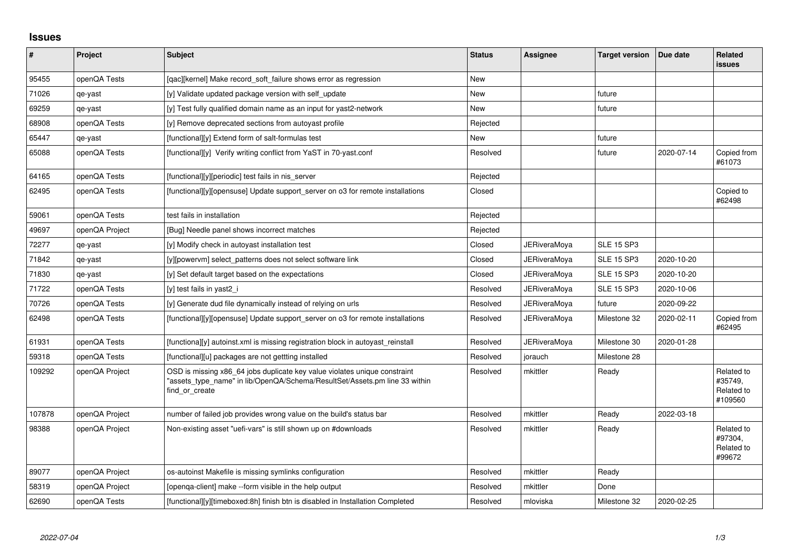## **Issues**

| #      | Project        | <b>Subject</b>                                                                                                                                                            | <b>Status</b> | Assignee            | <b>Target version</b> | Due date   | <b>Related</b><br><b>issues</b>                |
|--------|----------------|---------------------------------------------------------------------------------------------------------------------------------------------------------------------------|---------------|---------------------|-----------------------|------------|------------------------------------------------|
| 95455  | openQA Tests   | [gac][kernel] Make record soft failure shows error as regression                                                                                                          | New           |                     |                       |            |                                                |
| 71026  | qe-yast        | [y] Validate updated package version with self update                                                                                                                     | New           |                     | future                |            |                                                |
| 69259  | qe-yast        | [y] Test fully qualified domain name as an input for yast2-network                                                                                                        | New           |                     | future                |            |                                                |
| 68908  | openQA Tests   | [y] Remove deprecated sections from autoyast profile                                                                                                                      | Rejected      |                     |                       |            |                                                |
| 65447  | qe-yast        | [functional][y] Extend form of salt-formulas test                                                                                                                         | New           |                     | future                |            |                                                |
| 65088  | openQA Tests   | [functional][y] Verify writing conflict from YaST in 70-yast.conf                                                                                                         | Resolved      |                     | future                | 2020-07-14 | Copied from<br>#61073                          |
| 64165  | openQA Tests   | [functional][y][periodic] test fails in nis_server                                                                                                                        | Rejected      |                     |                       |            |                                                |
| 62495  | openQA Tests   | [functional][y][opensuse] Update support_server on o3 for remote installations                                                                                            | Closed        |                     |                       |            | Copied to<br>#62498                            |
| 59061  | openQA Tests   | test fails in installation                                                                                                                                                | Rejected      |                     |                       |            |                                                |
| 49697  | openQA Project | [Bug] Needle panel shows incorrect matches                                                                                                                                | Rejected      |                     |                       |            |                                                |
| 72277  | qe-yast        | [y] Modify check in autoyast installation test                                                                                                                            | Closed        | JERiveraMoya        | <b>SLE 15 SP3</b>     |            |                                                |
| 71842  | qe-yast        | [y][powerym] select patterns does not select software link                                                                                                                | Closed        | <b>JERiveraMova</b> | <b>SLE 15 SP3</b>     | 2020-10-20 |                                                |
| 71830  | qe-yast        | [y] Set default target based on the expectations                                                                                                                          | Closed        | JERiveraMoya        | <b>SLE 15 SP3</b>     | 2020-10-20 |                                                |
| 71722  | openQA Tests   | [y] test fails in yast2_i                                                                                                                                                 | Resolved      | JERiveraMoya        | <b>SLE 15 SP3</b>     | 2020-10-06 |                                                |
| 70726  | openQA Tests   | [y] Generate dud file dynamically instead of relying on urls                                                                                                              | Resolved      | <b>JERiveraMoya</b> | future                | 2020-09-22 |                                                |
| 62498  | openQA Tests   | [functional][y][opensuse] Update support_server on o3 for remote installations                                                                                            | Resolved      | <b>JERiveraMoya</b> | Milestone 32          | 2020-02-11 | Copied from<br>#62495                          |
| 61931  | openQA Tests   | [functiona][y] autoinst.xml is missing registration block in autoyast_reinstall                                                                                           | Resolved      | <b>JERiveraMoya</b> | Milestone 30          | 2020-01-28 |                                                |
| 59318  | openQA Tests   | [functional][u] packages are not gettting installed                                                                                                                       | Resolved      | jorauch             | Milestone 28          |            |                                                |
| 109292 | openQA Project | OSD is missing x86_64 jobs duplicate key value violates unique constraint<br>"assets type name" in lib/OpenQA/Schema/ResultSet/Assets.pm line 33 within<br>find or create | Resolved      | mkittler            | Ready                 |            | Related to<br>#35749.<br>Related to<br>#109560 |
| 107878 | openQA Project | number of failed job provides wrong value on the build's status bar                                                                                                       | Resolved      | mkittler            | Ready                 | 2022-03-18 |                                                |
| 98388  | openQA Project | Non-existing asset "uefi-vars" is still shown up on #downloads                                                                                                            | Resolved      | mkittler            | Ready                 |            | Related to<br>#97304,<br>Related to<br>#99672  |
| 89077  | openQA Project | os-autoinst Makefile is missing symlinks configuration                                                                                                                    | Resolved      | mkittler            | Ready                 |            |                                                |
| 58319  | openQA Project | [openga-client] make --form visible in the help output                                                                                                                    | Resolved      | mkittler            | Done                  |            |                                                |
| 62690  | openQA Tests   | [functional][y][timeboxed:8h] finish btn is disabled in Installation Completed                                                                                            | Resolved      | mloviska            | Milestone 32          | 2020-02-25 |                                                |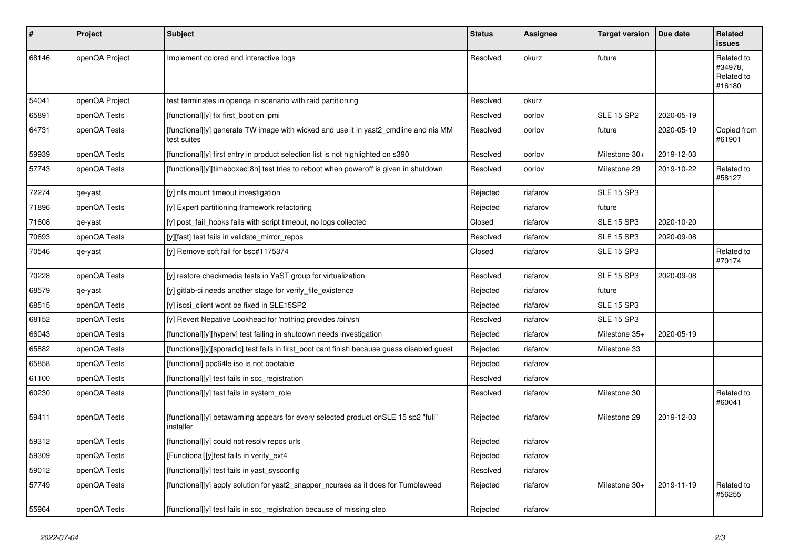| $\vert$ # | Project        | <b>Subject</b>                                                                                      | <b>Status</b> | Assignee | <b>Target version</b> | Due date   | Related<br><b>issues</b>                      |
|-----------|----------------|-----------------------------------------------------------------------------------------------------|---------------|----------|-----------------------|------------|-----------------------------------------------|
| 68146     | openQA Project | Implement colored and interactive logs                                                              | Resolved      | okurz    | future                |            | Related to<br>#34978,<br>Related to<br>#16180 |
| 54041     | openQA Project | test terminates in openga in scenario with raid partitioning                                        | Resolved      | okurz    |                       |            |                                               |
| 65891     | openQA Tests   | [functional][y] fix first boot on ipmi                                                              | Resolved      | oorlov   | <b>SLE 15 SP2</b>     | 2020-05-19 |                                               |
| 64731     | openQA Tests   | [functional][y] generate TW image with wicked and use it in yast2_cmdline and nis MM<br>test suites | Resolved      | oorlov   | future                | 2020-05-19 | Copied from<br>#61901                         |
| 59939     | openQA Tests   | [functional][y] first entry in product selection list is not highlighted on s390                    | Resolved      | oorlov   | Milestone 30+         | 2019-12-03 |                                               |
| 57743     | openQA Tests   | [functional][y][timeboxed:8h] test tries to reboot when poweroff is given in shutdown               | Resolved      | oorlov   | Milestone 29          | 2019-10-22 | Related to<br>#58127                          |
| 72274     | qe-yast        | [y] nfs mount timeout investigation                                                                 | Rejected      | riafarov | <b>SLE 15 SP3</b>     |            |                                               |
| 71896     | openQA Tests   | [y] Expert partitioning framework refactoring                                                       | Rejected      | riafarov | future                |            |                                               |
| 71608     | qe-yast        | [y] post fail hooks fails with script timeout, no logs collected                                    | Closed        | riafarov | <b>SLE 15 SP3</b>     | 2020-10-20 |                                               |
| 70693     | openQA Tests   | [y][fast] test fails in validate_mirror_repos                                                       | Resolved      | riafarov | <b>SLE 15 SP3</b>     | 2020-09-08 |                                               |
| 70546     | qe-yast        | [y] Remove soft fail for bsc#1175374                                                                | Closed        | riafarov | <b>SLE 15 SP3</b>     |            | Related to<br>#70174                          |
| 70228     | openQA Tests   | [y] restore checkmedia tests in YaST group for virtualization                                       | Resolved      | riafarov | <b>SLE 15 SP3</b>     | 2020-09-08 |                                               |
| 68579     | qe-yast        | [y] gitlab-ci needs another stage for verify file existence                                         | Rejected      | riafarov | future                |            |                                               |
| 68515     | openQA Tests   | [y] iscsi_client wont be fixed in SLE15SP2                                                          | Rejected      | riafarov | <b>SLE 15 SP3</b>     |            |                                               |
| 68152     | openQA Tests   | [y] Revert Negative Lookhead for 'nothing provides /bin/sh'                                         | Resolved      | riafarov | <b>SLE 15 SP3</b>     |            |                                               |
| 66043     | openQA Tests   | [functional][y][hyperv] test failing in shutdown needs investigation                                | Rejected      | riafarov | Milestone 35+         | 2020-05-19 |                                               |
| 65882     | openQA Tests   | [functional][y][sporadic] test fails in first_boot cant finish because guess disabled guest         | Rejected      | riafarov | Milestone 33          |            |                                               |
| 65858     | openQA Tests   | [functional] ppc64le iso is not bootable                                                            | Rejected      | riafarov |                       |            |                                               |
| 61100     | openQA Tests   | [functional][y] test fails in scc_registration                                                      | Resolved      | riafarov |                       |            |                                               |
| 60230     | openQA Tests   | [functional][y] test fails in system_role                                                           | Resolved      | riafarov | Milestone 30          |            | Related to<br>#60041                          |
| 59411     | openQA Tests   | [functional][y] betawarning appears for every selected product onSLE 15 sp2 "full"<br>installer     | Rejected      | riafarov | Milestone 29          | 2019-12-03 |                                               |
| 59312     | openQA Tests   | [functional][y] could not resolv repos urls                                                         | Rejected      | riafarov |                       |            |                                               |
| 59309     | openQA Tests   | [Functional][y]test fails in verify_ext4                                                            | Rejected      | riafarov |                       |            |                                               |
| 59012     | openQA Tests   | [functional][y] test fails in yast_sysconfig                                                        | Resolved      | riafarov |                       |            |                                               |
| 57749     | openQA Tests   | [functional][y] apply solution for yast2_snapper_ncurses as it does for Tumbleweed                  | Rejected      | riafarov | Milestone 30+         | 2019-11-19 | Related to<br>#56255                          |
| 55964     | openQA Tests   | [functional][y] test fails in scc registration because of missing step                              | Rejected      | riafarov |                       |            |                                               |